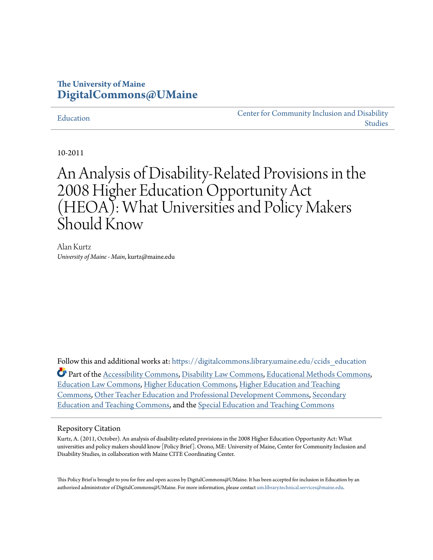#### **The University of Maine [DigitalCommons@UMaine](https://digitalcommons.library.umaine.edu?utm_source=digitalcommons.library.umaine.edu%2Fccids_education%2F3&utm_medium=PDF&utm_campaign=PDFCoverPages)**

#### [Education](https://digitalcommons.library.umaine.edu/ccids_education?utm_source=digitalcommons.library.umaine.edu%2Fccids_education%2F3&utm_medium=PDF&utm_campaign=PDFCoverPages)

[Center for Community Inclusion and Disability](https://digitalcommons.library.umaine.edu/ccids?utm_source=digitalcommons.library.umaine.edu%2Fccids_education%2F3&utm_medium=PDF&utm_campaign=PDFCoverPages) [Studies](https://digitalcommons.library.umaine.edu/ccids?utm_source=digitalcommons.library.umaine.edu%2Fccids_education%2F3&utm_medium=PDF&utm_campaign=PDFCoverPages)

10-2011

# An Analysis of Disability-Related Provisions in the 2008 Higher Education Opportunity Act (HEOA): What Universities and Policy Makers Should Know

Alan Kurtz *University of Maine - Main*, kurtz@maine.edu

Follow this and additional works at: [https://digitalcommons.library.umaine.edu/ccids\\_education](https://digitalcommons.library.umaine.edu/ccids_education?utm_source=digitalcommons.library.umaine.edu%2Fccids_education%2F3&utm_medium=PDF&utm_campaign=PDFCoverPages) Part of the [Accessibility Commons](http://network.bepress.com/hgg/discipline/1318?utm_source=digitalcommons.library.umaine.edu%2Fccids_education%2F3&utm_medium=PDF&utm_campaign=PDFCoverPages), [Disability Law Commons](http://network.bepress.com/hgg/discipline/1074?utm_source=digitalcommons.library.umaine.edu%2Fccids_education%2F3&utm_medium=PDF&utm_campaign=PDFCoverPages), [Educational Methods Commons,](http://network.bepress.com/hgg/discipline/1227?utm_source=digitalcommons.library.umaine.edu%2Fccids_education%2F3&utm_medium=PDF&utm_campaign=PDFCoverPages) [Education Law Commons,](http://network.bepress.com/hgg/discipline/596?utm_source=digitalcommons.library.umaine.edu%2Fccids_education%2F3&utm_medium=PDF&utm_campaign=PDFCoverPages) [Higher Education Commons,](http://network.bepress.com/hgg/discipline/1245?utm_source=digitalcommons.library.umaine.edu%2Fccids_education%2F3&utm_medium=PDF&utm_campaign=PDFCoverPages) [Higher Education and Teaching](http://network.bepress.com/hgg/discipline/806?utm_source=digitalcommons.library.umaine.edu%2Fccids_education%2F3&utm_medium=PDF&utm_campaign=PDFCoverPages) [Commons,](http://network.bepress.com/hgg/discipline/806?utm_source=digitalcommons.library.umaine.edu%2Fccids_education%2F3&utm_medium=PDF&utm_campaign=PDFCoverPages) [Other Teacher Education and Professional Development Commons](http://network.bepress.com/hgg/discipline/810?utm_source=digitalcommons.library.umaine.edu%2Fccids_education%2F3&utm_medium=PDF&utm_campaign=PDFCoverPages), [Secondary](http://network.bepress.com/hgg/discipline/809?utm_source=digitalcommons.library.umaine.edu%2Fccids_education%2F3&utm_medium=PDF&utm_campaign=PDFCoverPages) [Education and Teaching Commons,](http://network.bepress.com/hgg/discipline/809?utm_source=digitalcommons.library.umaine.edu%2Fccids_education%2F3&utm_medium=PDF&utm_campaign=PDFCoverPages) and the [Special Education and Teaching Commons](http://network.bepress.com/hgg/discipline/801?utm_source=digitalcommons.library.umaine.edu%2Fccids_education%2F3&utm_medium=PDF&utm_campaign=PDFCoverPages)

#### Repository Citation

Kurtz, A. (2011, October). An analysis of disability-related provisions in the 2008 Higher Education Opportunity Act: What universities and policy makers should know [Policy Brief]. Orono, ME: University of Maine, Center for Community Inclusion and Disability Studies, in collaboration with Maine CITE Coordinating Center.

This Policy Brief is brought to you for free and open access by DigitalCommons@UMaine. It has been accepted for inclusion in Education by an authorized administrator of DigitalCommons@UMaine. For more information, please contact [um.library.technical.services@maine.edu.](mailto:um.library.technical.services@maine.edu)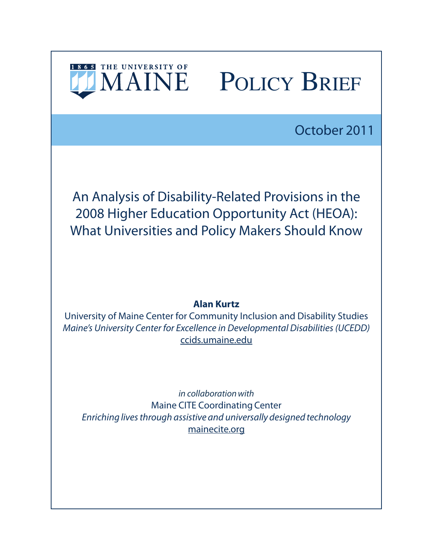

# IMAINE POLICY BRIEF

October 2011

An Analysis of Disability-Related Provisions in the 2008 Higher Education Opportunity Act (HEOA): What Universities and Policy Makers Should Know

### **Alan Kurtz**

University of Maine Center for Community Inclusion and Disability Studies *Maine's University Center for Excellence in Developmental Disabilities (UCEDD)* [ccids.umaine.edu](http://www.ccids.umaine.edu)

*in collaboration with* Maine CITE Coordinating Center *Enriching lives through assistive and universally designed technology* [mainecite.org](http://www.mainecite.org)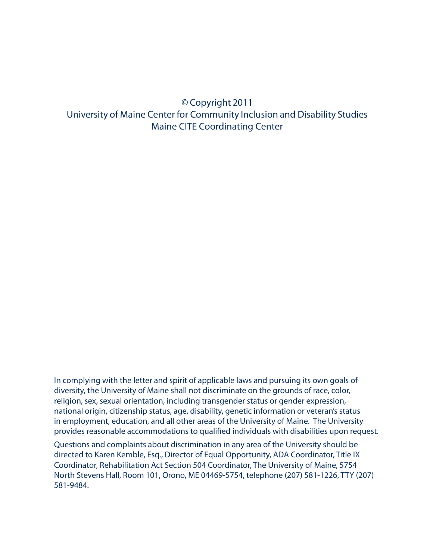## © Copyright 2011 University of Maine Center for Community Inclusion and Disability Studies Maine CITE Coordinating Center

In complying with the letter and spirit of applicable laws and pursuing its own goals of diversity, the University of Maine shall not discriminate on the grounds of race, color, religion, sex, sexual orientation, including transgender status or gender expression, national origin, citizenship status, age, disability, genetic information or veteran's status in employment, education, and all other areas of the University of Maine. The University provides reasonable accommodations to qualified individuals with disabilities upon request.

Questions and complaints about discrimination in any area of the University should be directed to Karen Kemble, Esq., Director of Equal Opportunity, ADA Coordinator, Title IX Coordinator, Rehabilitation Act Section 504 Coordinator, The University of Maine, 5754 North Stevens Hall, Room 101, Orono, ME 04469-5754, telephone (207) 581-1226, TTY (207) 581-9484.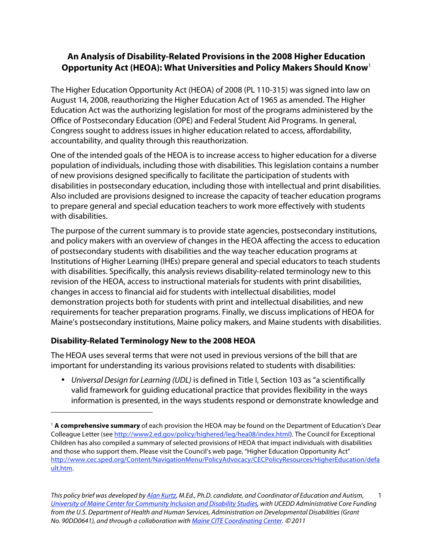#### **An Analysis of Disability-Related Provisions in the 2008 Higher Education Opportunity Act (HEOA): What Universities and Policy Makers Should Know**1

The Higher Education Opportunity Act (HEOA) of 2008 (PL 110-315) was signed into law on August 14, 2008, reauthorizing the Higher Education Act of 1965 as amended. The Higher Education Act was the authorizing legislation for most of the programs administered by the Office of Postsecondary Education (OPE) and Federal Student Aid Programs. In general, Congress sought to address issues in higher education related to access, affordability, accountability, and quality through this reauthorization.

One of the intended goals of the HEOA is to increase access to higher education for a diverse population of individuals, including those with disabilities. This legislation contains a number of new provisions designed specifically to facilitate the participation of students with disabilities in postsecondary education, including those with intellectual and print disabilities. Also included are provisions designed to increase the capacity of teacher education programs to prepare general and special education teachers to work more effectively with students with disabilities.

The purpose of the current summary is to provide state agencies, postsecondary institutions, and policy makers with an overview of changes in the HEOA affecting the access to education of postsecondary students with disabilities and the way teacher education programs at Institutions of Higher Learning (IHEs) prepare general and special educators to teach students with disabilities. Specifically, this analysis reviews disability-related terminology new to this revision of the HEOA, access to instructional materials for students with print disabilities, changes in access to financial aid for students with intellectual disabilities, model demonstration projects both for students with print and intellectual disabilities, and new requirements for teacher preparation programs. Finally, we discuss implications of HEOA for Maine's postsecondary institutions, Maine policy makers, and Maine students with disabilities.

#### **Disability-Related Terminology New to the 2008 HEOA**

 $\ddot{ }$ 

 important for understanding its various provisions related to students with disabilities: The HEOA uses several terms that were not used in previous versions of the bill that are

• Universal Design for Learning (UDL) is defined in Title I, Section 103 as "a scientifically valid framework for guiding educational practice that provides flexibility in the ways information is presented, in the ways students respond or demonstrate knowledge and

 <sup>1</sup>**A comprehensive summary** of each provision the HEOA may be found on the Department of Education's Dear Colleague Letter (see http://www2.ed.gov/policy/highered/leg/hea08/index.html). The Council for Exceptional Children has also compiled a summary of selected provisions of HEOA that impact individuals with disabilities and those who support them. Please visit the Council's web page, "Higher Education Opportunity Act" http://www.cec.sped.org/Content/NavigationMenu/PolicyAdvocacy/CECPolicyResources/HigherEducation/defa ult.htm.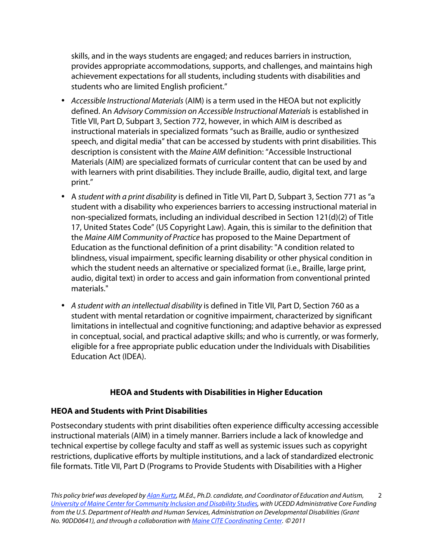skills, and in the ways students are engaged; and reduces barriers in instruction, provides appropriate accommodations, supports, and challenges, and maintains high achievement expectations for all students, including students with disabilities and students who are limited English proficient."

- Accessible Instructional Materials (AIM) is a term used in the HEOA but not explicitly defined. An Advisory Commission on Accessible Instructional Materials is established in Title VII, Part D, Subpart 3, Section 772, however, in which AIM is described as instructional materials in specialized formats "such as Braille, audio or synthesized speech, and digital media" that can be accessed by students with print disabilities. This description is consistent with the Maine AIM definition: "Accessible Instructional Materials (AIM) are specialized formats of curricular content that can be used by and with learners with print disabilities. They include Braille, audio, digital text, and large print."
- A student with a print disability is defined in Title VII, Part D, Subpart 3, Section 771 as "a student with a disability who experiences barriers to accessing instructional material in non-specialized formats, including an individual described in Section 121(d)(2) of Title 17, United States Code" (US Copyright Law). Again, this is similar to the definition that the Maine AIM Community of Practice has proposed to the Maine Department of Education as the functional definition of a print disability: "A condition related to blindness, visual impairment, specific learning disability or other physical condition in which the student needs an alternative or specialized format (i.e., Braille, large print, audio, digital text) in order to access and gain information from conventional printed materials."
- A student with an intellectual disability is defined in Title VII, Part D, Section 760 as a student with mental retardation or cognitive impairment, characterized by significant limitations in intellectual and cognitive functioning; and adaptive behavior as expressed in conceptual, social, and practical adaptive skills; and who is currently, or was formerly, eligible for a free appropriate public education under the Individuals with Disabilities Education Act (IDEA).

#### **HEOA and Students with Disabilities in Higher Education**

#### **HEOA and Students with Print Disabilities**

Postsecondary students with print disabilities often experience difficulty accessing accessible instructional materials (AIM) in a timely manner. Barriers include a lack of knowledge and technical expertise by college faculty and staff as well as systemic issues such as copyright restrictions, duplicative efforts by multiple institutions, and a lack of standardized electronic file formats. Title VII, Part D (Programs to Provide Students with Disabilities with a Higher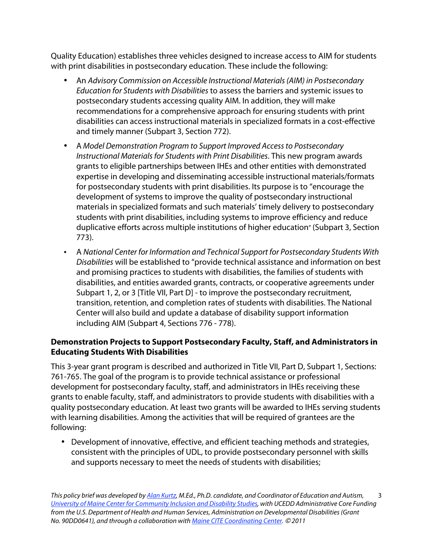Quality Education) establishes three vehicles designed to increase access to AIM for students with print disabilities in postsecondary education. These include the following:

- An Advisory Commission on Accessible Instructional Materials (AIM) in Postsecondary Education for Students with Disabilities to assess the barriers and systemic issues to postsecondary students accessing quality AIM. In addition, they will make recommendations for a comprehensive approach for ensuring students with print disabilities can access instructional materials in specialized formats in a cost-effective and timely manner (Subpart 3, Section 772).
- • A Model Demonstration Program to Support Improved Access to Postsecondary Instructional Materials for Students with Print Disabilities. This new program awards grants to eligible partnerships between IHEs and other entities with demonstrated expertise in developing and disseminating accessible instructional materials/formats for postsecondary students with print disabilities. Its purpose is to "encourage the development of systems to improve the quality of postsecondary instructional materials in specialized formats and such materials' timely delivery to postsecondary students with print disabilities, including systems to improve efficiency and reduce duplicative efforts across multiple institutions of higher education" (Subpart 3, Section 773).
- including AIM (Subpart 4, Sections 776 778). • A National Center for Information and Technical Support for Postsecondary Students With Disabilities will be established to "provide technical assistance and information on best and promising practices to students with disabilities, the families of students with disabilities, and entities awarded grants, contracts, or cooperative agreements under Subpart 1, 2, or 3 [Title VII, Part D] - to improve the postsecondary recruitment, transition, retention, and completion rates of students with disabilities. The National Center will also build and update a database of disability support information

#### **Demonstration Projects to Support Postsecondary Faculty, Staff, and Administrators in Educating Students With Disabilities**

This 3-year grant program is described and authorized in Title VII, Part D, Subpart 1, Sections: 761-765. The goal of the program is to provide technical assistance or professional development for postsecondary faculty, staff, and administrators in IHEs receiving these grants to enable faculty, staff, and administrators to provide students with disabilities with a quality postsecondary education. At least two grants will be awarded to IHEs serving students with learning disabilities. Among the activities that will be required of grantees are the following:

• Development of innovative, effective, and efficient teaching methods and strategies, consistent with the principles of UDL, to provide postsecondary personnel with skills and supports necessary to meet the needs of students with disabilities;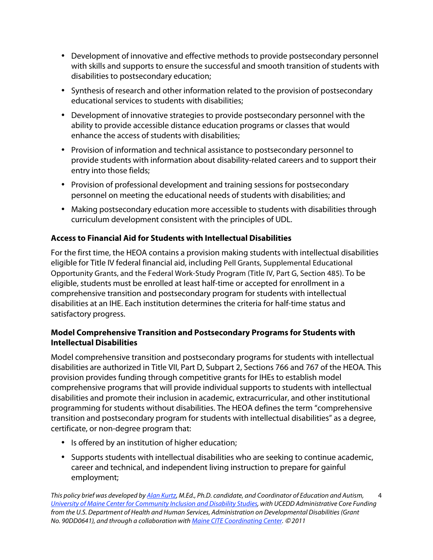- Development of innovative and effective methods to provide postsecondary personnel with skills and supports to ensure the successful and smooth transition of students with disabilities to postsecondary education;
- Synthesis of research and other information related to the provision of postsecondary educational services to students with disabilities;
- Development of innovative strategies to provide postsecondary personnel with the ability to provide accessible distance education programs or classes that would enhance the access of students with disabilities;
- Provision of information and technical assistance to postsecondary personnel to provide students with information about disability-related careers and to support their entry into those fields;
- Provision of professional development and training sessions for postsecondary personnel on meeting the educational needs of students with disabilities; and
- Making postsecondary education more accessible to students with disabilities through curriculum development consistent with the principles of UDL.

#### **Access to Financial Aid for Students with Intellectual Disabilities**

 eligible for Title IV federal financial aid, including Pell Grants, Supplemental Educational Opportunity Grants, and the Federal Work-Study Program (Title IV, Part G, Section 485). To be For the first time, the HEOA contains a provision making students with intellectual disabilities eligible, students must be enrolled at least half-time or accepted for enrollment in a comprehensive transition and postsecondary program for students with intellectual disabilities at an IHE. Each institution determines the criteria for half-time status and satisfactory progress.

#### **Model Comprehensive Transition and Postsecondary Programs for Students with Intellectual Disabilities**

Model comprehensive transition and postsecondary programs for students with intellectual disabilities are authorized in Title VII, Part D, Subpart 2, Sections 766 and 767 of the HEOA. This provision provides funding through competitive grants for IHEs to establish model comprehensive programs that will provide individual supports to students with intellectual disabilities and promote their inclusion in academic, extracurricular, and other institutional programming for students without disabilities. The HEOA defines the term "comprehensive transition and postsecondary program for students with intellectual disabilities" as a degree, certificate, or non-degree program that:

- Is offered by an institution of higher education;
- Supports students with intellectual disabilities who are seeking to continue academic, career and technical, and independent living instruction to prepare for gainful employment;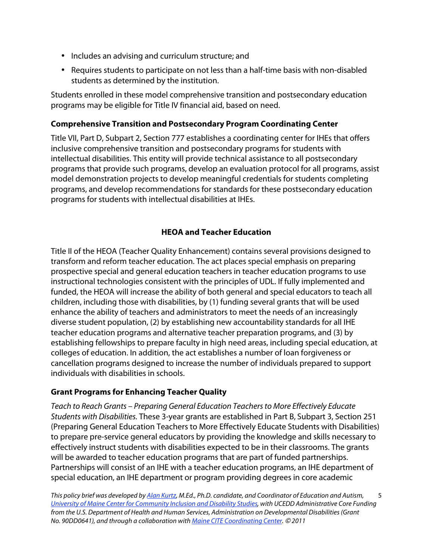- Includes an advising and curriculum structure; and
- Requires students to participate on not less than a half-time basis with non-disabled students as determined by the institution.

Students enrolled in these model comprehensive transition and postsecondary education programs may be eligible for Title IV financial aid, based on need.

#### **Comprehensive Transition and Postsecondary Program Coordinating Center**

Title VII, Part D, Subpart 2, Section 777 establishes a coordinating center for IHEs that offers inclusive comprehensive transition and postsecondary programs for students with intellectual disabilities. This entity will provide technical assistance to all postsecondary programs that provide such programs, develop an evaluation protocol for all programs, assist model demonstration projects to develop meaningful credentials for students completing programs, and develop recommendations for standards for these postsecondary education programs for students with intellectual disabilities at IHEs.

#### **HEOA and Teacher Education**

 individuals with disabilities in schools. Title II of the HEOA (Teacher Quality Enhancement) contains several provisions designed to transform and reform teacher education. The act places special emphasis on preparing prospective special and general education teachers in teacher education programs to use instructional technologies consistent with the principles of UDL. If fully implemented and funded, the HEOA will increase the ability of both general and special educators to teach all children, including those with disabilities, by (1) funding several grants that will be used enhance the ability of teachers and administrators to meet the needs of an increasingly diverse student population, (2) by establishing new accountability standards for all IHE teacher education programs and alternative teacher preparation programs, and (3) by establishing fellowships to prepare faculty in high need areas, including special education, at colleges of education. In addition, the act establishes a number of loan forgiveness or cancellation programs designed to increase the number of individuals prepared to support

#### **Grant Programs for Enhancing Teacher Quality**

Teach to Reach Grants – Preparing General Education Teachers to More Effectively Educate Students with Disabilities. These 3-year grants are established in Part B, Subpart 3, Section 251 (Preparing General Education Teachers to More Effectively Educate Students with Disabilities) to prepare pre-service general educators by providing the knowledge and skills necessary to effectively instruct students with disabilities expected to be in their classrooms. The grants will be awarded to teacher education programs that are part of funded partnerships. Partnerships will consist of an IHE with a teacher education programs, an IHE department of special education, an IHE department or program providing degrees in core academic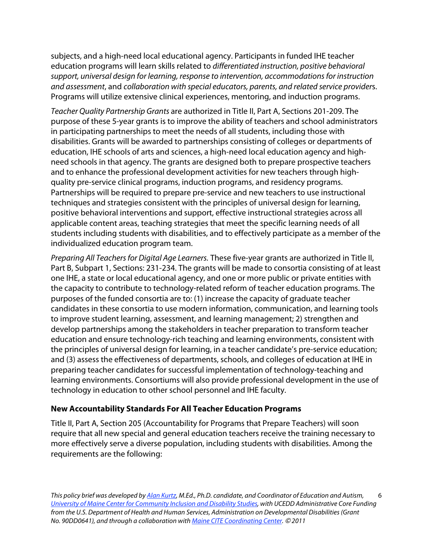subjects, and a high-need local educational agency. Participants in funded IHE teacher education programs will learn skills related to differentiated instruction, positive behavioral support, universal design for learning, response to intervention, accommodations for instruction and assessment, and collaboration with special educators, parents, and related service providers. Programs will utilize extensive clinical experiences, mentoring, and induction programs.

Teacher Quality Partnership Grants are authorized in Title II, Part A, Sections 201-209. The purpose of these 5-year grants is to improve the ability of teachers and school administrators in participating partnerships to meet the needs of all students, including those with disabilities. Grants will be awarded to partnerships consisting of colleges or departments of education, IHE schools of arts and sciences, a high-need local education agency and highneed schools in that agency. The grants are designed both to prepare prospective teachers and to enhance the professional development activities for new teachers through highquality pre-service clinical programs, induction programs, and residency programs. Partnerships will be required to prepare pre-service and new teachers to use instructional techniques and strategies consistent with the principles of universal design for learning, positive behavioral interventions and support, effective instructional strategies across all applicable content areas, teaching strategies that meet the specific learning needs of all students including students with disabilities, and to effectively participate as a member of the individualized education program team.

Preparing All Teachers for Digital Age Learners. These five-year grants are authorized in Title II, Part B, Subpart 1, Sections: 231-234. The grants will be made to consortia consisting of at least one IHE, a state or local educational agency, and one or more public or private entities with the capacity to contribute to technology-related reform of teacher education programs. The purposes of the funded consortia are to: (1) increase the capacity of graduate teacher candidates in these consortia to use modern information, communication, and learning tools to improve student learning, assessment, and learning management; 2) strengthen and develop partnerships among the stakeholders in teacher preparation to transform teacher education and ensure technology-rich teaching and learning environments, consistent with the principles of universal design for learning, in a teacher candidate's pre-service education; and (3) assess the effectiveness of departments, schools, and colleges of education at IHE in preparing teacher candidates for successful implementation of technology-teaching and learning environments. Consortiums will also provide professional development in the use of technology in education to other school personnel and IHE faculty.

#### **New Accountability Standards For All Teacher Education Programs**

Title II, Part A, Section 205 (Accountability for Programs that Prepare Teachers) will soon require that all new special and general education teachers receive the training necessary to more effectively serve a diverse population, including students with disabilities. Among the requirements are the following: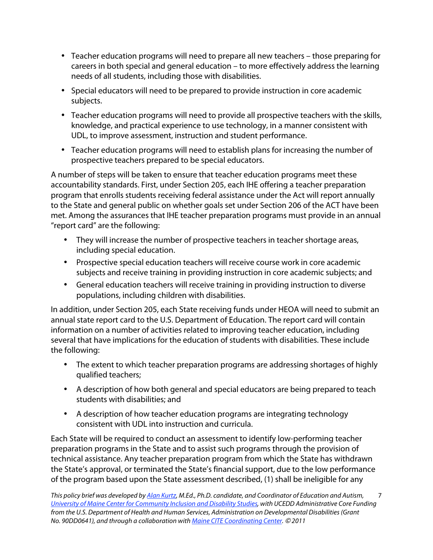- Teacher education programs will need to prepare all new teachers those preparing for careers in both special and general education – to more effectively address the learning needs of all students, including those with disabilities.
- Special educators will need to be prepared to provide instruction in core academic subjects.
- Teacher education programs will need to provide all prospective teachers with the skills, knowledge, and practical experience to use technology, in a manner consistent with UDL, to improve assessment, instruction and student performance.
- Teacher education programs will need to establish plans for increasing the number of prospective teachers prepared to be special educators.

A number of steps will be taken to ensure that teacher education programs meet these accountability standards. First, under Section 205, each IHE offering a teacher preparation program that enrolls students receiving federal assistance under the Act will report annually to the State and general public on whether goals set under Section 206 of the ACT have been met. Among the assurances that IHE teacher preparation programs must provide in an annual "report card" are the following:

- They will increase the number of prospective teachers in teacher shortage areas, including special education.
- Prospective special education teachers will receive course work in core academic subjects and receive training in providing instruction in core academic subjects; and
- General education teachers will receive training in providing instruction to diverse populations, including children with disabilities.

In addition, under Section 205, each State receiving funds under HEOA will need to submit an annual state report card to the U.S. Department of Education. The report card will contain information on a number of activities related to improving teacher education, including several that have implications for the education of students with disabilities. These include the following:

- The extent to which teacher preparation programs are addressing shortages of highly qualified teachers;
- A description of how both general and special educators are being prepared to teach students with disabilities; and
- A description of how teacher education programs are integrating technology consistent with UDL into instruction and curricula.

Each State will be required to conduct an assessment to identify low-performing teacher preparation programs in the State and to assist such programs through the provision of technical assistance. Any teacher preparation program from which the State has withdrawn the State's approval, or terminated the State's financial support, due to the low performance of the program based upon the State assessment described, (1) shall be ineligible for any

 $\overline{a}$ <u>University of Maine Center for Community Inclusion and Disability Studies</u>, with UCEDD Administrative Core Funding This policy brief was developed by [Alan Kurtz,](http://ccids.umaine.edu/contact-info-directions/orono/kurtz/) M.Ed., Ph.D. candidate, and Coordinator of Education and Autism, from the U.S. Department of Health and Human Services, Administration on Developmental Disabilities (Grant No. 90DD0641), and through a collaboration with [Maine CITE Coordinating Center.](http://www.mainecite.org/) © 2011 7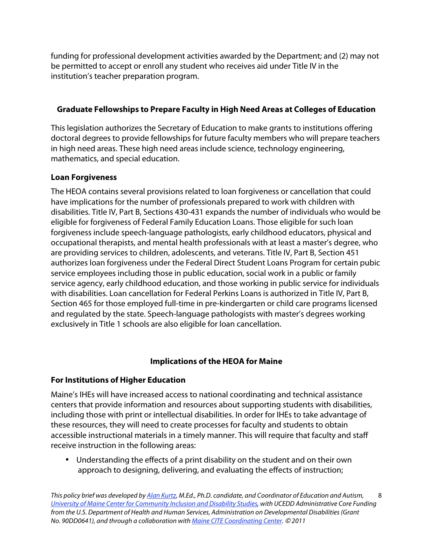institution's teacher preparation program. funding for professional development activities awarded by the Department; and (2) may not be permitted to accept or enroll any student who receives aid under Title IV in the

#### **Graduate Fellowships to Prepare Faculty in High Need Areas at Colleges of Education**

This legislation authorizes the Secretary of Education to make grants to institutions offering doctoral degrees to provide fellowships for future faculty members who will prepare teachers in high need areas. These high need areas include science, technology engineering, mathematics, and special education.

#### **Loan Forgiveness**

 exclusively in Title 1 schools are also eligible for loan cancellation. The HEOA contains several provisions related to loan forgiveness or cancellation that could have implications for the number of professionals prepared to work with children with disabilities. Title IV, Part B, Sections 430-431 expands the number of individuals who would be eligible for forgiveness of Federal Family Education Loans. Those eligible for such loan forgiveness include speech-language pathologists, early childhood educators, physical and occupational therapists, and mental health professionals with at least a master's degree, who are providing services to children, adolescents, and veterans. Title IV, Part B, Section 451 authorizes loan forgiveness under the Federal Direct Student Loans Program for certain pubic service employees including those in public education, social work in a public or family service agency, early childhood education, and those working in public service for individuals with disabilities. Loan cancellation for Federal Perkins Loans is authorized in Title IV, Part B, Section 465 for those employed full-time in pre-kindergarten or child care programs licensed and regulated by the state. Speech-language pathologists with master's degrees working

#### **Implications of the HEOA for Maine**

#### **For Institutions of Higher Education**

Maine's IHEs will have increased access to national coordinating and technical assistance centers that provide information and resources about supporting students with disabilities, including those with print or intellectual disabilities. In order for IHEs to take advantage of these resources, they will need to create processes for faculty and students to obtain accessible instructional materials in a timely manner. This will require that faculty and staff receive instruction in the following areas:

• Understanding the effects of a print disability on the student and on their own approach to designing, delivering, and evaluating the effects of instruction;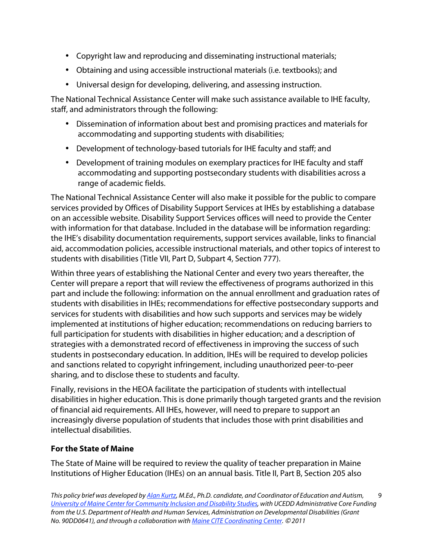- Copyright law and reproducing and disseminating instructional materials;
- Obtaining and using accessible instructional materials (i.e. textbooks); and
- Universal design for developing, delivering, and assessing instruction.

The National Technical Assistance Center will make such assistance available to IHE faculty, staff, and administrators through the following:

- Dissemination of information about best and promising practices and materials for accommodating and supporting students with disabilities;
- Development of technology-based tutorials for IHE faculty and staff; and
- Development of training modules on exemplary practices for IHE faculty and staff accommodating and supporting postsecondary students with disabilities across a range of academic fields.

students with disabilities (Title VII, Part D, Subpart 4, Section 777). The National Technical Assistance Center will also make it possible for the public to compare services provided by Offices of Disability Support Services at IHEs by establishing a database on an accessible website. Disability Support Services offices will need to provide the Center with information for that database. Included in the database will be information regarding: the IHE's disability documentation requirements, support services available, links to financial aid, accommodation policies, accessible instructional materials, and other topics of interest to

Within three years of establishing the National Center and every two years thereafter, the Center will prepare a report that will review the effectiveness of programs authorized in this part and include the following: information on the annual enrollment and graduation rates of students with disabilities in IHEs; recommendations for effective postsecondary supports and services for students with disabilities and how such supports and services may be widely implemented at institutions of higher education; recommendations on reducing barriers to full participation for students with disabilities in higher education; and a description of strategies with a demonstrated record of effectiveness in improving the success of such students in postsecondary education. In addition, IHEs will be required to develop policies and sanctions related to copyright infringement, including unauthorized peer-to-peer sharing, and to disclose these to students and faculty.

Finally, revisions in the HEOA facilitate the participation of students with intellectual disabilities in higher education. This is done primarily though targeted grants and the revision of financial aid requirements. All IHEs, however, will need to prepare to support an increasingly diverse population of students that includes those with print disabilities and intellectual disabilities.

#### **For the State of Maine**

The State of Maine will be required to review the quality of teacher preparation in Maine Institutions of Higher Education (IHEs) on an annual basis. Title II, Part B, Section 205 also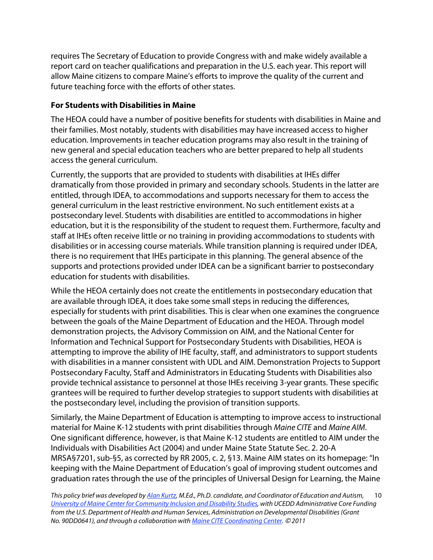requires The Secretary of Education to provide Congress with and make widely available a report card on teacher qualifications and preparation in the U.S. each year. This report will allow Maine citizens to compare Maine's efforts to improve the quality of the current and future teaching force with the efforts of other states.

#### **For Students with Disabilities in Maine**

The HEOA could have a number of positive benefits for students with disabilities in Maine and their families. Most notably, students with disabilities may have increased access to higher education. Improvements in teacher education programs may also result in the training of new general and special education teachers who are better prepared to help all students access the general curriculum.

Currently, the supports that are provided to students with disabilities at IHEs differ dramatically from those provided in primary and secondary schools. Students in the latter are entitled, through IDEA, to accommodations and supports necessary for them to access the general curriculum in the least restrictive environment. No such entitlement exists at a postsecondary level. Students with disabilities are entitled to accommodations in higher education, but it is the responsibility of the student to request them. Furthermore, faculty and staff at IHEs often receive little or no training in providing accommodations to students with disabilities or in accessing course materials. While transition planning is required under IDEA, there is no requirement that IHEs participate in this planning. The general absence of the supports and protections provided under IDEA can be a significant barrier to postsecondary education for students with disabilities.

the postsecondary level, including the provision of transition supports. While the HEOA certainly does not create the entitlements in postsecondary education that are available through IDEA, it does take some small steps in reducing the differences, especially for students with print disabilities. This is clear when one examines the congruence between the goals of the Maine Department of Education and the HEOA. Through model demonstration projects, the Advisory Commission on AIM, and the National Center for Information and Technical Support for Postsecondary Students with Disabilities, HEOA is attempting to improve the ability of IHE faculty, staff, and administrators to support students with disabilities in a manner consistent with UDL and AIM. Demonstration Projects to Support Postsecondary Faculty, Staff and Administrators in Educating Students with Disabilities also provide technical assistance to personnel at those IHEs receiving 3-year grants. These specific grantees will be required to further develop strategies to support students with disabilities at

Similarly, the Maine Department of Education is attempting to improve access to instructional material for Maine K-12 students with print disabilities through Maine CITE and Maine AIM. One significant difference, however, is that Maine K-12 students are entitled to AIM under the Individuals with Disabilities Act (2004) and under Maine State Statute Sec. 2. 20-A MRSA§7201, sub-§5, as corrected by RR 2005, c. 2, §13. Maine AIM states on its homepage: "In keeping with the Maine Department of Education's goal of improving student outcomes and graduation rates through the use of the principles of Universal Design for Learning, the Maine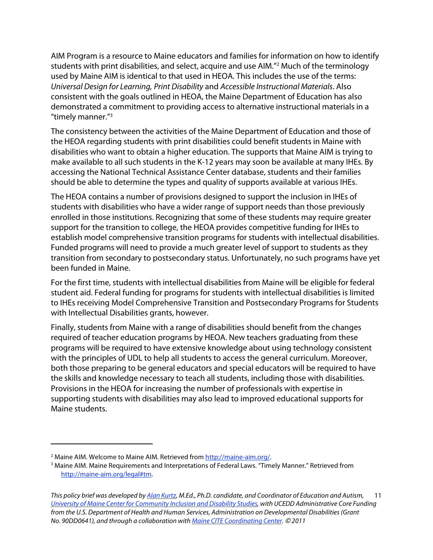"timely manner."3 AIM Program is a resource to Maine educators and families for information on how to identify students with print disabilities, and select, acquire and use AIM."2 Much of the terminology used by Maine AIM is identical to that used in HEOA. This includes the use of the terms: Universal Design for Learning, Print Disability and Accessible Instructional Materials. Also consistent with the goals outlined in HEOA, the Maine Department of Education has also demonstrated a commitment to providing access to alternative instructional materials in a

The consistency between the activities of the Maine Department of Education and those of the HEOA regarding students with print disabilities could benefit students in Maine with disabilities who want to obtain a higher education. The supports that Maine AIM is trying to make available to all such students in the K-12 years may soon be available at many IHEs. By accessing the National Technical Assistance Center database, students and their families should be able to determine the types and quality of supports available at various IHEs.

The HEOA contains a number of provisions designed to support the inclusion in IHEs of students with disabilities who have a wider range of support needs than those previously enrolled in those institutions. Recognizing that some of these students may require greater support for the transition to college, the HEOA provides competitive funding for IHEs to establish model comprehensive transition programs for students with intellectual disabilities. Funded programs will need to provide a much greater level of support to students as they transition from secondary to postsecondary status. Unfortunately, no such programs have yet been funded in Maine.

For the first time, students with intellectual disabilities from Maine will be eligible for federal student aid. Federal funding for programs for students with intellectual disabilities is limited to IHEs receiving Model Comprehensive Transition and Postsecondary Programs for Students with Intellectual Disabilities grants, however.

Finally, students from Maine with a range of disabilities should benefit from the changes required of teacher education programs by HEOA. New teachers graduating from these programs will be required to have extensive knowledge about using technology consistent with the principles of UDL to help all students to access the general curriculum. Moreover, both those preparing to be general educators and special educators will be required to have the skills and knowledge necessary to teach all students, including those with disabilities. Provisions in the HEOA for increasing the number of professionals with expertise in supporting students with disabilities may also lead to improved educational supports for Maine students.

 $\ddot{ }$ 

<sup>&</sup>lt;sup>2</sup> Maine AIM. Welcome to Maine AIM. Retrieved from http://maine-aim.org/.

<sup>&</sup>lt;sup>2</sup> Maine AIM. Welcome to Maine AIM. Retrieved from <u>http://maine-aim.org/</u>.<br><sup>3</sup> Maine AIM. Maine Requirements and Interpretations of Federal Laws. "Timely Manner." Retrieved from http://maine-aim.org/legal#tm.

 $\overline{a}$ Ĺ This policy brief was developed by [Alan Kurtz,](http://ccids.umaine.edu/contact-info-directions/orono/kurtz/) M.Ed., Ph.D. candidate, and Coordinator of Education and Autism, 11 [University of Maine Center for Community Inclusion and Disability Studies](http://ccids.umaine.edu/), with UCEDD Administrative Core Funding from the U.S. Department of Health and Human Services, Administration on Developmental Disabilities (Grant No. 90DD0641), and through a collaboration with [Maine CITE Coordinating Center.](http://www.mainecite.org/) © 2011